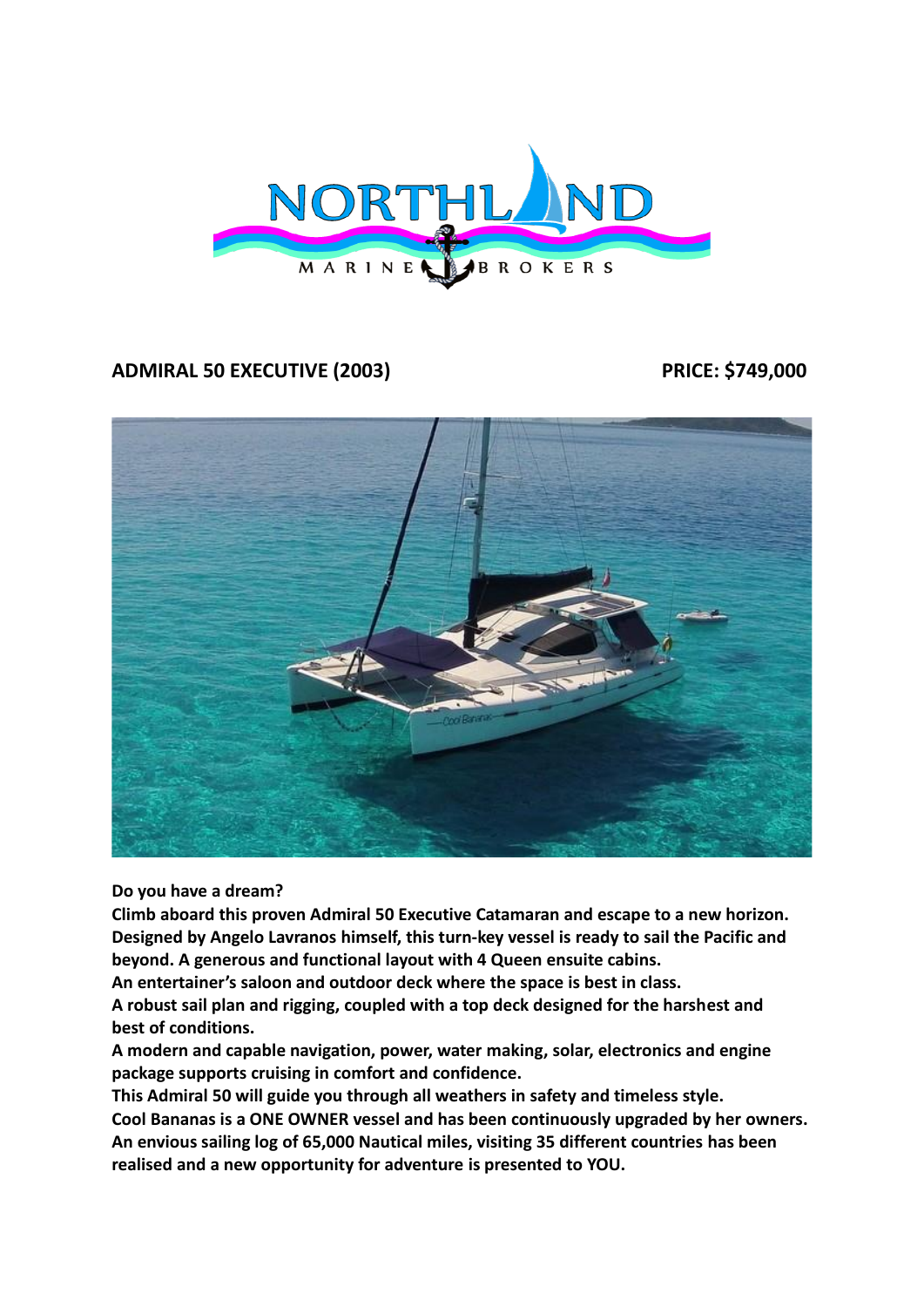

# **ADMIRAL 50 EXECUTIVE (2003) PRICE: \$749,000**



**Do you have a dream?**

**Climb aboard this proven Admiral 50 Executive Catamaran and escape to a new horizon. Designed by Angelo Lavranos himself, this turn-key vessel is ready to sail the Pacific and beyond. A generous and functional layout with 4 Queen ensuite cabins.** 

**An entertainer's saloon and outdoor deck where the space is best in class.** 

**A robust sail plan and rigging, coupled with a top deck designed for the harshest and best of conditions.** 

**A modern and capable navigation, power, water making, solar, electronics and engine package supports cruising in comfort and confidence.** 

**This Admiral 50 will guide you through all weathers in safety and timeless style.**

**Cool Bananas is a ONE OWNER vessel and has been continuously upgraded by her owners. An envious sailing log of 65,000 Nautical miles, visiting 35 different countries has been realised and a new opportunity for adventure is presented to YOU.**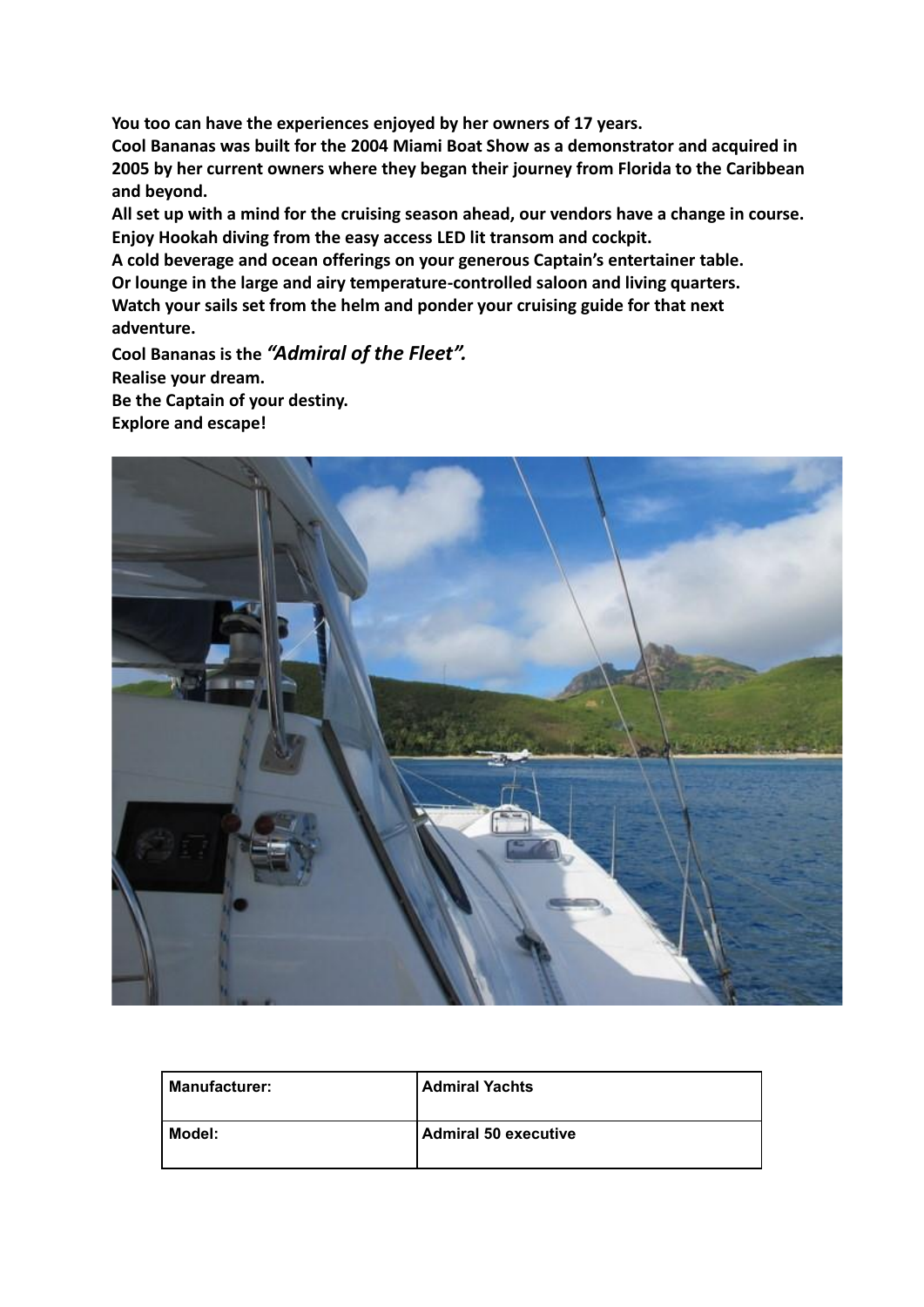**You too can have the experiences enjoyed by her owners of 17 years.** 

**Cool Bananas was built for the 2004 Miami Boat Show as a demonstrator and acquired in 2005 by her current owners where they began their journey from Florida to the Caribbean and beyond.** 

**All set up with a mind for the cruising season ahead, our vendors have a change in course. Enjoy Hookah diving from the easy access LED lit transom and cockpit.** 

**A cold beverage and ocean offerings on your generous Captain's entertainer table.** 

**Or lounge in the large and airy temperature-controlled saloon and living quarters.** 

**Watch your sails set from the helm and ponder your cruising guide for that next adventure.**

**Cool Bananas is the** *"Admiral of the Fleet".* **Realise your dream. Be the Captain of your destiny. Explore and escape!**



| <b>Manufacturer:</b> | <b>Admiral Yachts</b>       |
|----------------------|-----------------------------|
| Model:               | <b>Admiral 50 executive</b> |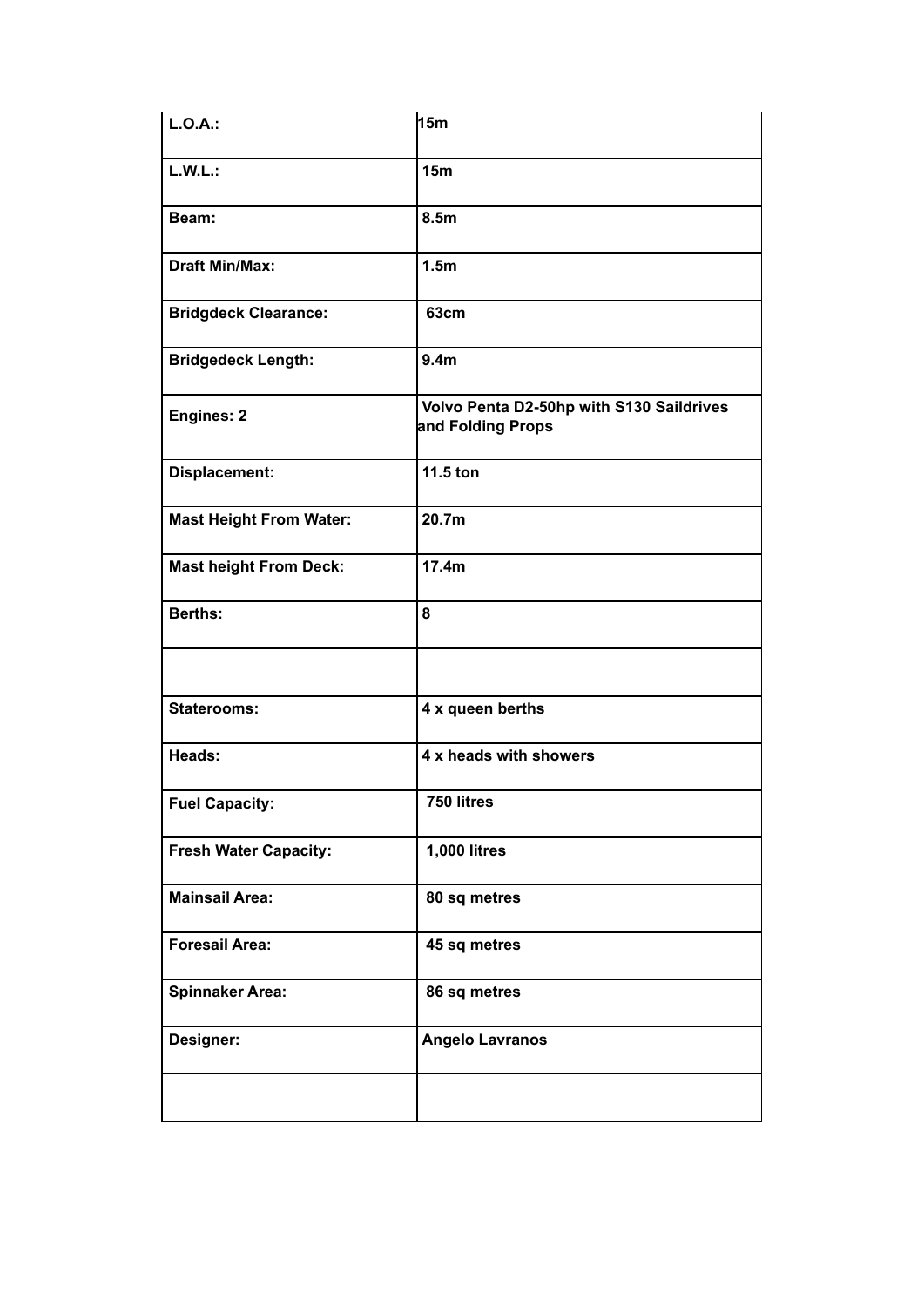| L.O.A.:                        | h <sub>5m</sub>                                               |
|--------------------------------|---------------------------------------------------------------|
| L.W.L.:                        | 15 <sub>m</sub>                                               |
| Beam:                          | 8.5 <sub>m</sub>                                              |
| <b>Draft Min/Max:</b>          | 1.5 <sub>m</sub>                                              |
| <b>Bridgdeck Clearance:</b>    | <b>63cm</b>                                                   |
| <b>Bridgedeck Length:</b>      | 9.4 <sub>m</sub>                                              |
| Engines: 2                     | Volvo Penta D2-50hp with S130 Saildrives<br>and Folding Props |
| Displacement:                  | 11.5 ton                                                      |
| <b>Mast Height From Water:</b> | 20.7m                                                         |
| <b>Mast height From Deck:</b>  | 17.4m                                                         |
| <b>Berths:</b>                 | 8                                                             |
|                                |                                                               |
| <b>Staterooms:</b>             | 4 x queen berths                                              |
| Heads:                         | 4 x heads with showers                                        |
| <b>Fuel Capacity:</b>          | 750 litres                                                    |
| <b>Fresh Water Capacity:</b>   | <b>1,000 litres</b>                                           |
| <b>Mainsail Area:</b>          | 80 sq metres                                                  |
| <b>Foresail Area:</b>          | 45 sq metres                                                  |
| <b>Spinnaker Area:</b>         | 86 sq metres                                                  |
| Designer:                      | <b>Angelo Lavranos</b>                                        |
|                                |                                                               |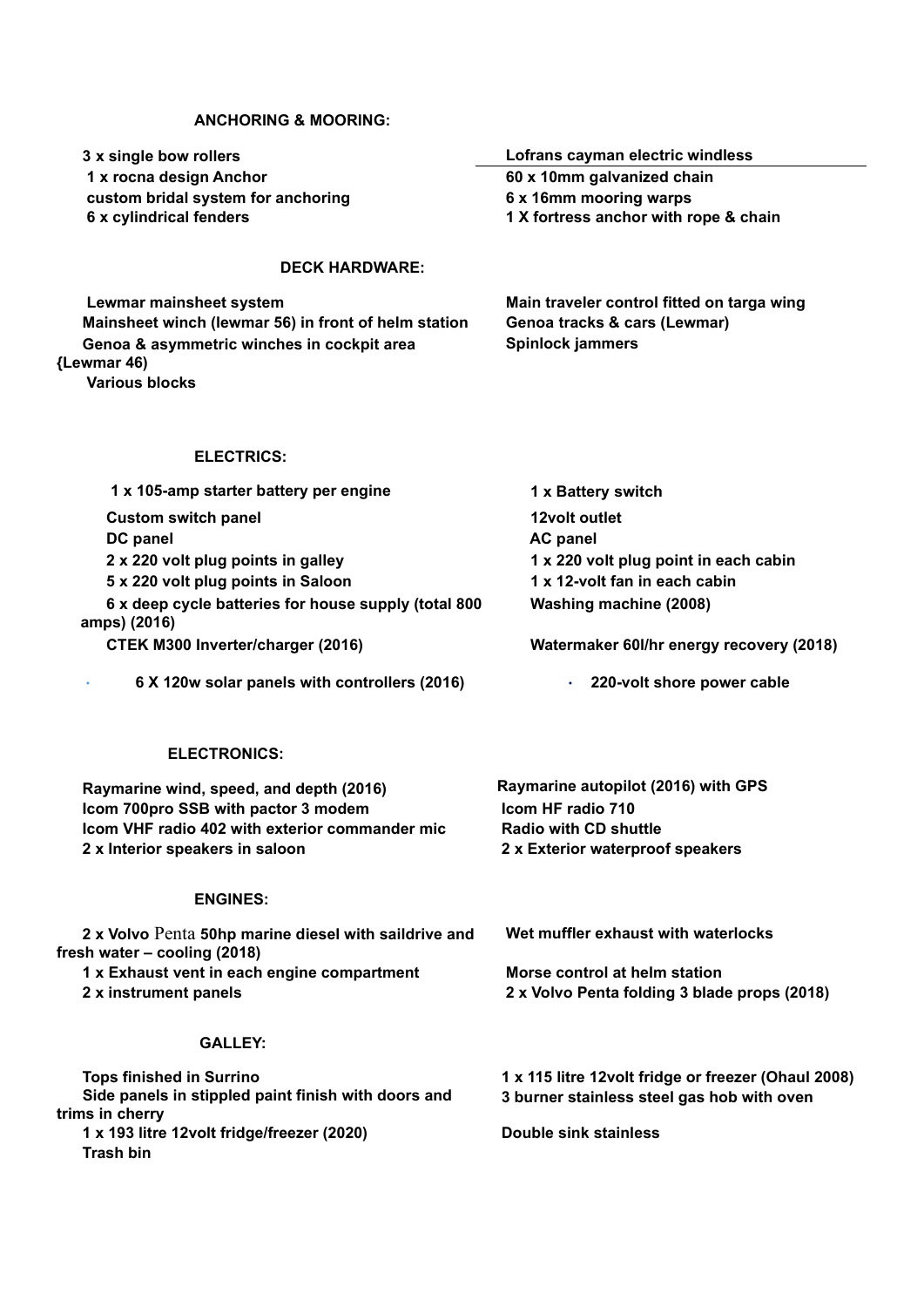## **ANCHORING & MOORING:**

| 3 x single bow rollers                                                                | Lofrans cayman electric windless<br>60 x 10mm galvanized chain<br>6 x 16mm mooring warps<br>1 X fortress anchor with rope & chain |  |
|---------------------------------------------------------------------------------------|-----------------------------------------------------------------------------------------------------------------------------------|--|
| 1 x rocna design Anchor                                                               |                                                                                                                                   |  |
| custom bridal system for anchoring                                                    |                                                                                                                                   |  |
| 6 x cylindrical fenders                                                               |                                                                                                                                   |  |
| <b>DECK HARDWARE:</b>                                                                 |                                                                                                                                   |  |
| Lewmar mainsheet system                                                               | Main traveler control fitted on targa wing                                                                                        |  |
| Mainsheet winch (lewmar 56) in front of helm station                                  | Genoa tracks & cars (Lewmar)                                                                                                      |  |
| Genoa & asymmetric winches in cockpit area                                            | Spinlock jammers                                                                                                                  |  |
| (Lewmar 46)<br><b>Various blocks</b>                                                  |                                                                                                                                   |  |
|                                                                                       |                                                                                                                                   |  |
| <b>ELECTRICS:</b>                                                                     |                                                                                                                                   |  |
| 1 x 105-amp starter battery per engine                                                | 1 x Battery switch                                                                                                                |  |
| <b>Custom switch panel</b>                                                            | 12volt outlet                                                                                                                     |  |
| DC panel                                                                              | <b>AC panel</b>                                                                                                                   |  |
| 2 x 220 volt plug points in galley                                                    | 1 x 220 volt plug point in each cabin                                                                                             |  |
| 5 x 220 volt plug points in Saloon                                                    | 1 x 12-volt fan in each cabin                                                                                                     |  |
| 6 x deep cycle batteries for house supply (total 800<br>amps) (2016)                  | <b>Washing machine (2008)</b>                                                                                                     |  |
| CTEK M300 Inverter/charger (2016)                                                     | Watermaker 60I/hr energy recovery (2018)                                                                                          |  |
| 6 X 120w solar panels with controllers (2016)                                         | 220-volt shore power cable                                                                                                        |  |
| <b>ELECTRONICS:</b>                                                                   |                                                                                                                                   |  |
| Raymarine wind, speed, and depth (2016)                                               | Raymarine autopilot (2016) with GPS                                                                                               |  |
| Icom 700pro SSB with pactor 3 modem                                                   | Icom HF radio 710                                                                                                                 |  |
| Icom VHF radio 402 with exterior commander mic                                        | <b>Radio with CD shuttle</b>                                                                                                      |  |
| 2 x Interior speakers in saloon                                                       | 2 x Exterior waterproof speakers                                                                                                  |  |
| <b>ENGINES:</b>                                                                       |                                                                                                                                   |  |
| 2 x Volvo Penta 50hp marine diesel with saildrive and<br>fresh water – cooling (2018) | Wet muffler exhaust with waterlocks                                                                                               |  |
| 1 x Exhaust vent in each engine compartment                                           | Morse control at helm station                                                                                                     |  |
| 2 x instrument panels                                                                 | 2 x Volvo Penta folding 3 blade props (2018)                                                                                      |  |
| <b>GALLEY:</b>                                                                        |                                                                                                                                   |  |
| <b>Tops finished in Surrino</b>                                                       | 1 x 115 litre 12volt fridge or freezer (Ohaul 2008)                                                                               |  |
| Side panels in stippled paint finish with doors and                                   | 3 burner stainless steel gas hob with oven                                                                                        |  |
| trims in cherry                                                                       |                                                                                                                                   |  |
| 1 x 193 litre 12volt fridge/freezer (2020)<br><b>Trash bin</b>                        | <b>Double sink stainless</b>                                                                                                      |  |
|                                                                                       |                                                                                                                                   |  |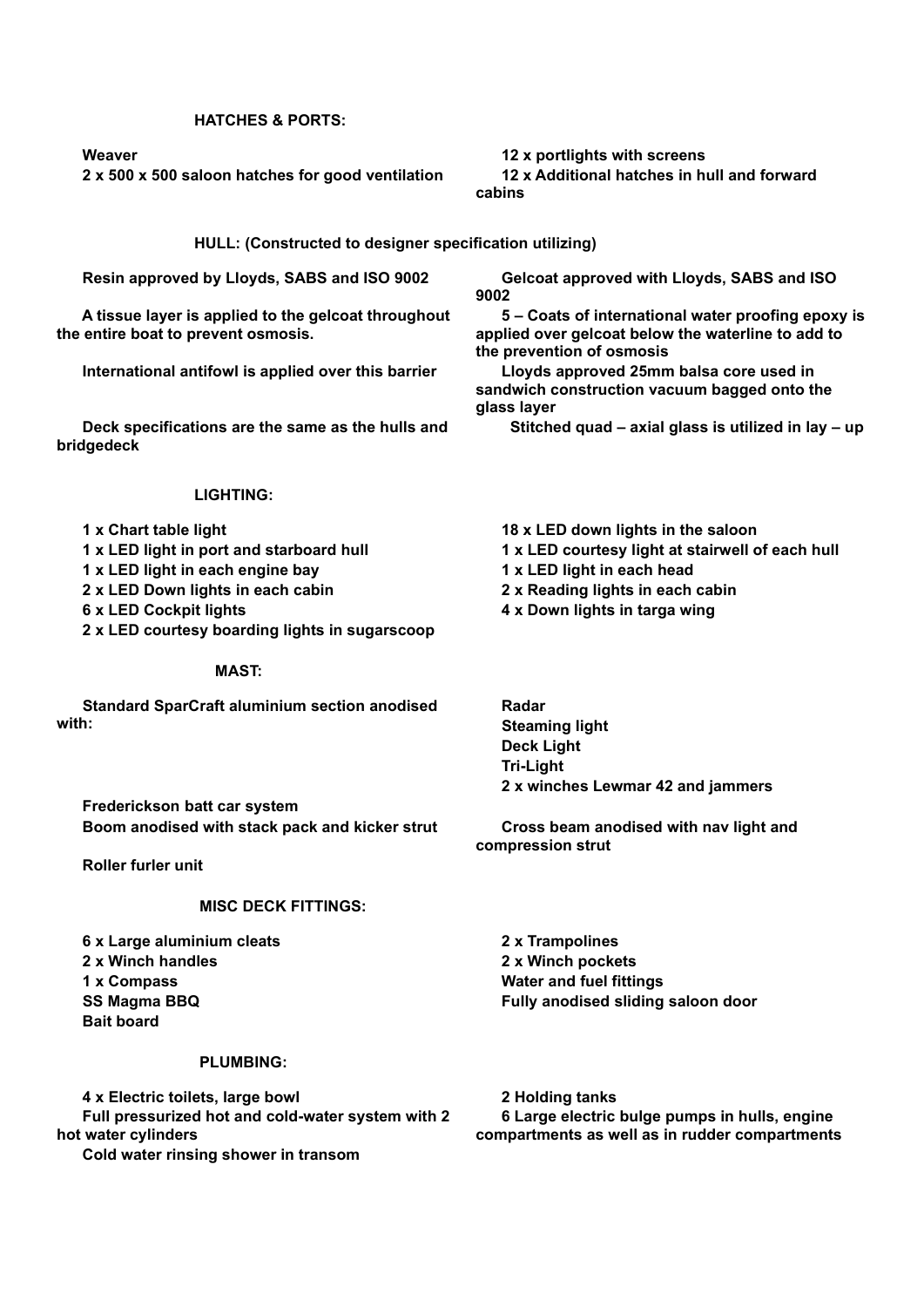## **HATCHES & PORTS:**

 **2 x 500 x 500 saloon hatches for good ventilation 12 x Additional hatches in hull and forward** 

## **Meaver 12 x portlights with screens**

**cabins**

**HULL: (Constructed to designer specification utilizing)**

 **A tissue layer is applied to the gelcoat throughout the entire boat to prevent osmosis.**

 **International antifowl is applied over this barrier Lloyds approved 25mm balsa core used in** 

 **Deck specifications are the same as the hulls and bridgedeck**

#### **LIGHTING:**

- 
- 1 x LED light in port and starboard hull **1 x LED courtesy light at stairwell of each hull**
- **1 x LED light in each engine bay 1 x LED light in each head**
- **2 x LED Down lights in each cabin 2 x Reading lights in each cabin**
- 
- **2 x LED courtesy boarding lights in sugarscoop**

## **MAST:**

 **Standard SparCraft aluminium section anodised with:**

 **Resin approved by Lloyds, SABS and ISO 9002 Gelcoat approved with Lloyds, SABS and ISO 9002**

> **5 – Coats of international water proofing epoxy is applied over gelcoat below the waterline to add to the prevention of osmosis**

**sandwich construction vacuum bagged onto the glass layer**

 **Stitched quad – axial glass is utilized in lay – up**

 **1 x Chart table light 18 x LED down lights in the saloon**

- 
- 
- **6 x LED Cockpit lights 4 x Down lights in targa wing**
	- **Radar Steaming light Deck Light Tri-Light 2 x winches Lewmar 42 and jammers**

 **Boom anodised with stack pack and kicker strut Cross beam anodised with nav light and compression strut**

 **Roller furler unit**

### **MISC DECK FITTINGS:**

 **6 x Large aluminium cleats 2 x Trampolines 2 x Winch handles 2 x Winch pockets 1 x Compass Water and fuel fittings SS Magma BBQ Fully anodised sliding saloon door Bait board**

 **Frederickson batt car system**

## **PLUMBING:**

 **4 x Electric toilets, large bowl 2 Holding tanks Full pressurized hot and cold-water system with 2 hot water cylinders Cold water rinsing shower in transom**

 **6 Large electric bulge pumps in hulls, engine compartments as well as in rudder compartments**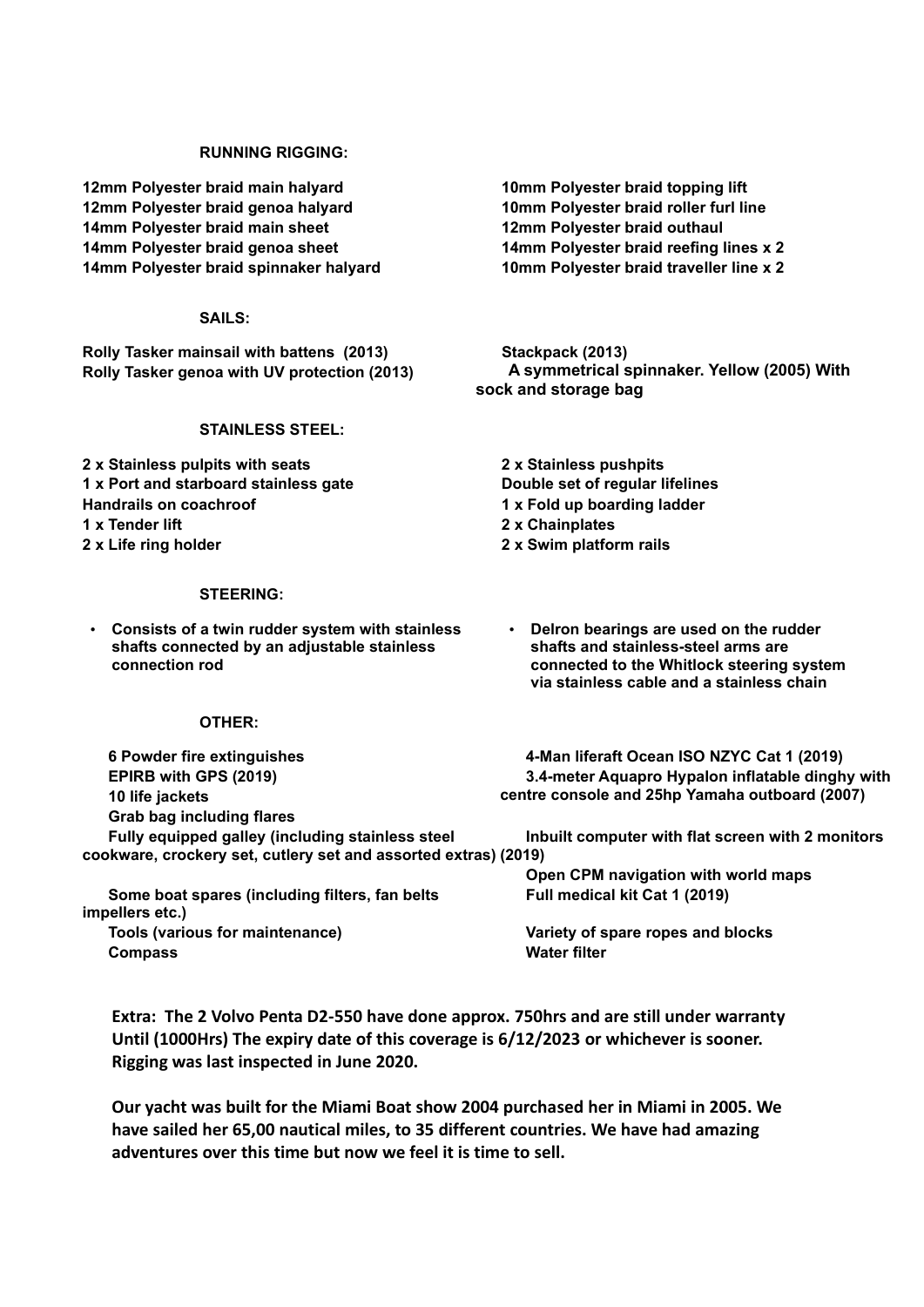## **RUNNING RIGGING:**

 **12mm Polyester braid main halyard 10mm Polyester braid topping lift 12mm Polyester braid genoa halyard 10mm Polyester braid roller furl line 14mm Polyester braid main sheet 12mm Polyester braid outhaul 14mm Polyester braid genoa sheet 14mm Polyester braid reefing lines x 2 14mm Polyester braid spinnaker halyard 10mm Polyester braid traveller line x 2**

## **SAILS:**

 **Rolly Tasker mainsail with battens (2013) Stackpack (2013)**

## **STAINLESS STEEL:**

 **2 x Stainless pulpits with seats 2 x Stainless pushpits 1 x Port and starboard stainless gate Double set of regular lifelines Handrails** on coachroof 1 x Fold up boarding ladder  **1 x Tender lift 2 x Chainplates 2 x Life ring holder 2 x Swim platform rails**

## **STEERING:**

• **Consists of a twin rudder system with stainless shafts connected by an adjustable stainless connection rod**

## **OTHER:**

 **6 Powder fire extinguishes 4-Man liferaft Ocean ISO NZYC Cat 1 (2019) EPIRB with GPS (2019) 10 life jackets Grab bag including flares 3.4-meter Aquapro Hypalon inflatable dinghy with centre console and 25hp Yamaha outboard (2007) Fully equipped galley (including stainless steel cookware, crockery set, cutlery set and assorted extras) (2019) Inbuilt computer with flat screen with 2 monitors Open CPM navigation with world maps Some boat spares (including filters, fan belts impellers etc.) Full medical kit Cat 1 (2019) Tools (various for maintenance) Variety of spare ropes and blocks**

**Extra: The 2 Volvo Penta D2-550 have done approx. 750hrs and are still under warranty Until (1000Hrs) The expiry date of this coverage is 6/12/2023 or whichever is sooner. Rigging was last inspected in June 2020.**

**Our yacht was built for the Miami Boat show 2004 purchased her in Miami in 2005. We have sailed her 65,00 nautical miles, to 35 different countries. We have had amazing adventures over this time but now we feel it is time to sell.** 

 **Rolly Tasker genoa with UV protection (2013) A symmetrical spinnaker. Yellow (2005) With sock and storage bag**

- 
- **Delron bearings are used on the rudder shafts and stainless-steel arms are connected to the Whitlock steering system via stainless cable and a stainless chain**

**Compass Water filter**